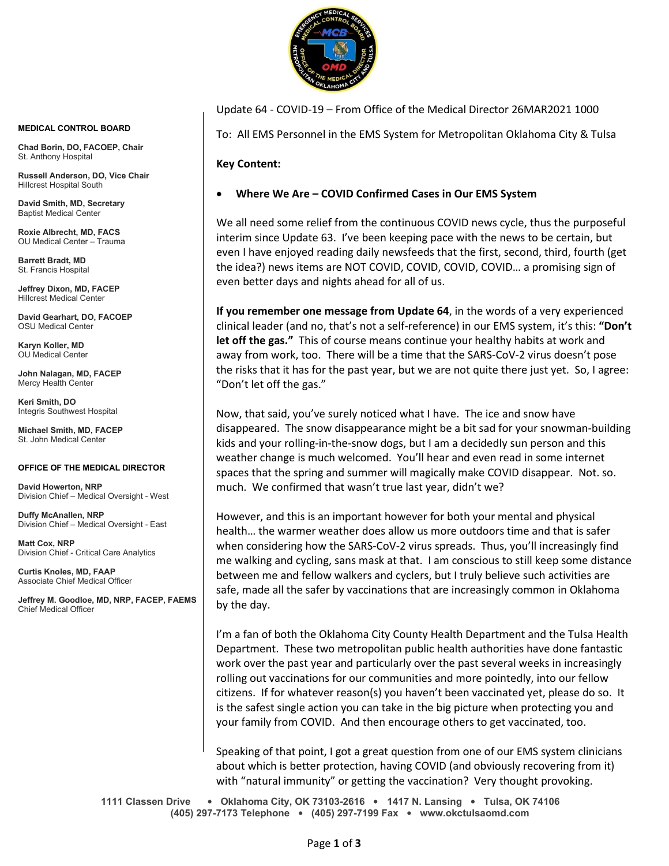

Update 64 - COVID-19 – From Office of the Medical Director 26MAR2021 1000

To: All EMS Personnel in the EMS System for Metropolitan Oklahoma City & Tulsa

**Key Content:**

## • **Where We Are – COVID Confirmed Cases in Our EMS System**

We all need some relief from the continuous COVID news cycle, thus the purposeful interim since Update 63. I've been keeping pace with the news to be certain, but even I have enjoyed reading daily newsfeeds that the first, second, third, fourth (get the idea?) news items are NOT COVID, COVID, COVID, COVID… a promising sign of even better days and nights ahead for all of us.

**If you remember one message from Update 64**, in the words of a very experienced clinical leader (and no, that's not a self-reference) in our EMS system, it's this: **"Don't let off the gas."** This of course means continue your healthy habits at work and away from work, too. There will be a time that the SARS-CoV-2 virus doesn't pose the risks that it has for the past year, but we are not quite there just yet. So, I agree: "Don't let off the gas."

Now, that said, you've surely noticed what I have. The ice and snow have disappeared. The snow disappearance might be a bit sad for your snowman-building kids and your rolling-in-the-snow dogs, but I am a decidedly sun person and this weather change is much welcomed. You'll hear and even read in some internet spaces that the spring and summer will magically make COVID disappear. Not. so. much. We confirmed that wasn't true last year, didn't we?

However, and this is an important however for both your mental and physical health… the warmer weather does allow us more outdoors time and that is safer when considering how the SARS-CoV-2 virus spreads. Thus, you'll increasingly find me walking and cycling, sans mask at that. I am conscious to still keep some distance between me and fellow walkers and cyclers, but I truly believe such activities are safe, made all the safer by vaccinations that are increasingly common in Oklahoma by the day.

I'm a fan of both the Oklahoma City County Health Department and the Tulsa Health Department. These two metropolitan public health authorities have done fantastic work over the past year and particularly over the past several weeks in increasingly rolling out vaccinations for our communities and more pointedly, into our fellow citizens. If for whatever reason(s) you haven't been vaccinated yet, please do so. It is the safest single action you can take in the big picture when protecting you and your family from COVID. And then encourage others to get vaccinated, too.

Speaking of that point, I got a great question from one of our EMS system clinicians about which is better protection, having COVID (and obviously recovering from it) with "natural immunity" or getting the vaccination? Very thought provoking.

**1111 Classen Drive** • **Oklahoma City, OK 73103-2616** • **1417 N. Lansing** • **Tulsa, OK 74106 (405) 297-7173 Telephone** • **(405) 297-7199 Fax** • **www.okctulsaomd.com**

## **MEDICAL CONTROL BOARD**

**Chad Borin, DO, FACOEP, Chair**  St. Anthony Hospital

**Russell Anderson, DO, Vice Chair** Hillcrest Hospital South

**David Smith, MD, Secretary** Baptist Medical Center

**Roxie Albrecht, MD, FACS** OU Medical Center – Trauma

**Barrett Bradt, MD** St. Francis Hospital

**Jeffrey Dixon, MD, FACEP** Hillcrest Medical Center

**David Gearhart, DO, FACOEP** OSU Medical Center

**Karyn Koller, MD** OU Medical Center

**John Nalagan, MD, FACEP** Mercy Health Center

**Keri Smith, DO** Integris Southwest Hospital

**Michael Smith, MD, FACEP** St. John Medical Center

## **OFFICE OF THE MEDICAL DIRECTOR**

**David Howerton, NRP** Division Chief – Medical Oversight - West

**Duffy McAnallen, NRP** Division Chief – Medical Oversight - East

**Matt Cox, NRP** Division Chief - Critical Care Analytics

**Curtis Knoles, MD, FAAP** Associate Chief Medical Officer

**Jeffrey M. Goodloe, MD, NRP, FACEP, FAEMS** Chief Medical Officer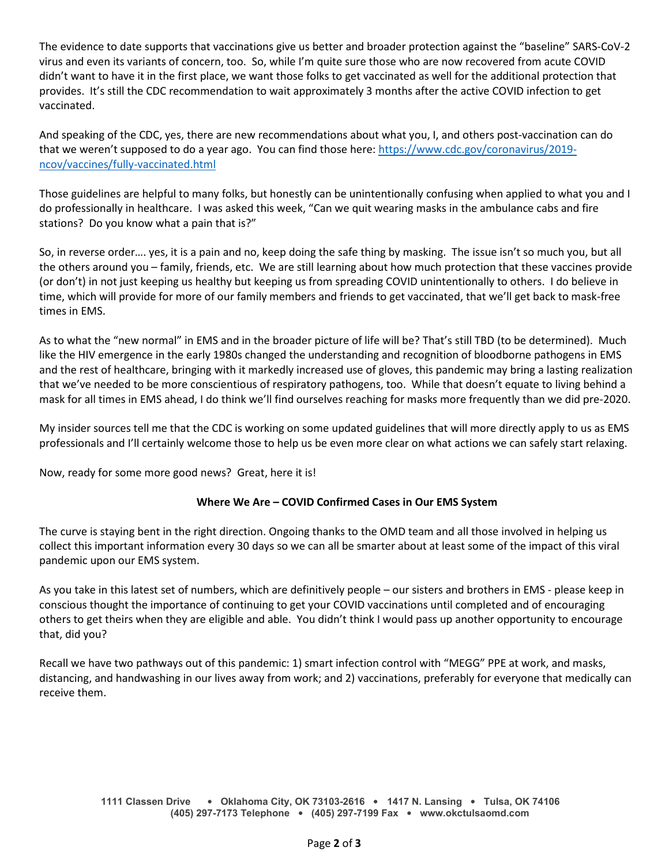The evidence to date supports that vaccinations give us better and broader protection against the "baseline" SARS-CoV-2 virus and even its variants of concern, too. So, while I'm quite sure those who are now recovered from acute COVID didn't want to have it in the first place, we want those folks to get vaccinated as well for the additional protection that provides. It's still the CDC recommendation to wait approximately 3 months after the active COVID infection to get vaccinated.

And speaking of the CDC, yes, there are new recommendations about what you, I, and others post-vaccination can do that we weren't supposed to do a year ago. You can find those here: [https://www.cdc.gov/coronavirus/2019](https://www.cdc.gov/coronavirus/2019-ncov/vaccines/fully-vaccinated.html) [ncov/vaccines/fully-vaccinated.html](https://www.cdc.gov/coronavirus/2019-ncov/vaccines/fully-vaccinated.html)

Those guidelines are helpful to many folks, but honestly can be unintentionally confusing when applied to what you and I do professionally in healthcare. I was asked this week, "Can we quit wearing masks in the ambulance cabs and fire stations? Do you know what a pain that is?"

So, in reverse order…. yes, it is a pain and no, keep doing the safe thing by masking. The issue isn't so much you, but all the others around you – family, friends, etc. We are still learning about how much protection that these vaccines provide (or don't) in not just keeping us healthy but keeping us from spreading COVID unintentionally to others. I do believe in time, which will provide for more of our family members and friends to get vaccinated, that we'll get back to mask-free times in EMS.

As to what the "new normal" in EMS and in the broader picture of life will be? That's still TBD (to be determined). Much like the HIV emergence in the early 1980s changed the understanding and recognition of bloodborne pathogens in EMS and the rest of healthcare, bringing with it markedly increased use of gloves, this pandemic may bring a lasting realization that we've needed to be more conscientious of respiratory pathogens, too. While that doesn't equate to living behind a mask for all times in EMS ahead, I do think we'll find ourselves reaching for masks more frequently than we did pre-2020.

My insider sources tell me that the CDC is working on some updated guidelines that will more directly apply to us as EMS professionals and I'll certainly welcome those to help us be even more clear on what actions we can safely start relaxing.

Now, ready for some more good news? Great, here it is!

## **Where We Are – COVID Confirmed Cases in Our EMS System**

The curve is staying bent in the right direction. Ongoing thanks to the OMD team and all those involved in helping us collect this important information every 30 days so we can all be smarter about at least some of the impact of this viral pandemic upon our EMS system.

As you take in this latest set of numbers, which are definitively people – our sisters and brothers in EMS - please keep in conscious thought the importance of continuing to get your COVID vaccinations until completed and of encouraging others to get theirs when they are eligible and able. You didn't think I would pass up another opportunity to encourage that, did you?

Recall we have two pathways out of this pandemic: 1) smart infection control with "MEGG" PPE at work, and masks, distancing, and handwashing in our lives away from work; and 2) vaccinations, preferably for everyone that medically can receive them.